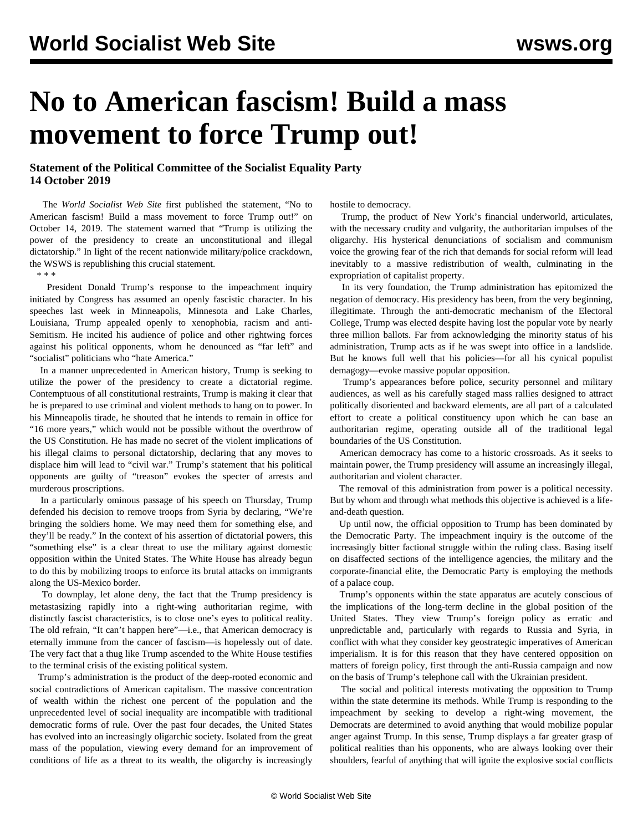## **No to American fascism! Build a mass movement to force Trump out!**

## **Statement of the Political Committee of the Socialist Equality Party 14 October 2019**

 The *World Socialist Web Site* first published the statement, "No to American fascism! Build a mass movement to force Trump out!" on October 14, 2019. The statement warned that "Trump is utilizing the power of the presidency to create an unconstitutional and illegal dictatorship." In light of the recent nationwide military/police crackdown, the WSWS is republishing this crucial statement.

\* \* \*

 President Donald Trump's response to the impeachment inquiry initiated by Congress has assumed an openly fascistic character. In his speeches last week in Minneapolis, Minnesota and Lake Charles, Louisiana, Trump appealed openly to xenophobia, racism and anti-Semitism. He incited his audience of police and other rightwing forces against his political opponents, whom he denounced as "far left" and "socialist" politicians who "hate America."

 In a manner unprecedented in American history, Trump is seeking to utilize the power of the presidency to create a dictatorial regime. Contemptuous of all constitutional restraints, Trump is making it clear that he is prepared to use criminal and violent methods to hang on to power. In his Minneapolis tirade, he shouted that he intends to remain in office for "16 more years," which would not be possible without the overthrow of the US Constitution. He has made no secret of the violent implications of his illegal claims to personal dictatorship, declaring that any moves to displace him will lead to "civil war." Trump's statement that his political opponents are guilty of "treason" evokes the specter of arrests and murderous proscriptions.

 In a particularly ominous passage of his speech on Thursday, Trump defended his decision to remove troops from Syria by declaring, "We're bringing the soldiers home. We may need them for something else, and they'll be ready." In the context of his assertion of dictatorial powers, this "something else" is a clear threat to use the military against domestic opposition within the United States. The White House has already begun to do this by mobilizing troops to enforce its brutal attacks on immigrants along the US-Mexico border.

 To downplay, let alone deny, the fact that the Trump presidency is metastasizing rapidly into a right-wing authoritarian regime, with distinctly fascist characteristics, is to close one's eyes to political reality. The old refrain, "It can't happen here"—i.e., that American democracy is eternally immune from the cancer of fascism—is hopelessly out of date. The very fact that a thug like Trump ascended to the White House testifies to the terminal crisis of the existing political system.

 Trump's administration is the product of the deep-rooted economic and social contradictions of American capitalism. The massive concentration of wealth within the richest one percent of the population and the unprecedented level of social inequality are incompatible with traditional democratic forms of rule. Over the past four decades, the United States has evolved into an increasingly oligarchic society. Isolated from the great mass of the population, viewing every demand for an improvement of conditions of life as a threat to its wealth, the oligarchy is increasingly

hostile to democracy.

 Trump, the product of New York's financial underworld, articulates, with the necessary crudity and vulgarity, the authoritarian impulses of the oligarchy. His hysterical denunciations of socialism and communism voice the growing fear of the rich that demands for social reform will lead inevitably to a massive redistribution of wealth, culminating in the expropriation of capitalist property.

 In its very foundation, the Trump administration has epitomized the negation of democracy. His presidency has been, from the very beginning, illegitimate. Through the anti-democratic mechanism of the Electoral College, Trump was elected despite having lost the popular vote by nearly three million ballots. Far from acknowledging the minority status of his administration, Trump acts as if he was swept into office in a landslide. But he knows full well that his policies—for all his cynical populist demagogy—evoke massive popular opposition.

 Trump's appearances before police, security personnel and military audiences, as well as his carefully staged mass rallies designed to attract politically disoriented and backward elements, are all part of a calculated effort to create a political constituency upon which he can base an authoritarian regime, operating outside all of the traditional legal boundaries of the US Constitution.

 American democracy has come to a historic crossroads. As it seeks to maintain power, the Trump presidency will assume an increasingly illegal, authoritarian and violent character.

 The removal of this administration from power is a political necessity. But by whom and through what methods this objective is achieved is a lifeand-death question.

 Up until now, the official opposition to Trump has been dominated by the Democratic Party. The impeachment inquiry is the outcome of the increasingly bitter factional struggle within the ruling class. Basing itself on disaffected sections of the intelligence agencies, the military and the corporate-financial elite, the Democratic Party is employing the methods of a palace coup.

 Trump's opponents within the state apparatus are acutely conscious of the implications of the long-term decline in the global position of the United States. They view Trump's foreign policy as erratic and unpredictable and, particularly with regards to Russia and Syria, in conflict with what they consider key geostrategic imperatives of American imperialism. It is for this reason that they have centered opposition on matters of foreign policy, first through the anti-Russia campaign and now on the basis of Trump's telephone call with the Ukrainian president.

 The social and political interests motivating the opposition to Trump within the state determine its methods. While Trump is responding to the impeachment by seeking to develop a right-wing movement, the Democrats are determined to avoid anything that would mobilize popular anger against Trump. In this sense, Trump displays a far greater grasp of political realities than his opponents, who are always looking over their shoulders, fearful of anything that will ignite the explosive social conflicts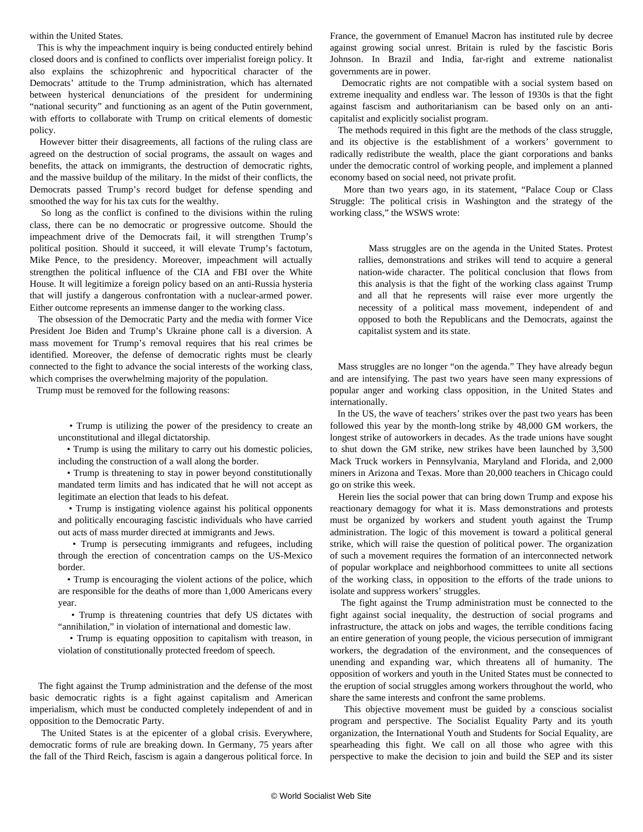within the United States.

 This is why the impeachment inquiry is being conducted entirely behind closed doors and is confined to conflicts over imperialist foreign policy. It also explains the schizophrenic and hypocritical character of the Democrats' attitude to the Trump administration, which has alternated between hysterical denunciations of the president for undermining "national security" and functioning as an agent of the Putin government, with efforts to collaborate with Trump on critical elements of domestic policy.

 However bitter their disagreements, all factions of the ruling class are agreed on the destruction of social programs, the assault on wages and benefits, the attack on immigrants, the destruction of democratic rights, and the massive buildup of the military. In the midst of their conflicts, the Democrats passed Trump's record budget for defense spending and smoothed the way for his tax cuts for the wealthy.

 So long as the conflict is confined to the divisions within the ruling class, there can be no democratic or progressive outcome. Should the impeachment drive of the Democrats fail, it will strengthen Trump's political position. Should it succeed, it will elevate Trump's factotum, Mike Pence, to the presidency. Moreover, impeachment will actually strengthen the political influence of the CIA and FBI over the White House. It will legitimize a foreign policy based on an anti-Russia hysteria that will justify a dangerous confrontation with a nuclear-armed power. Either outcome represents an immense danger to the working class.

 The obsession of the Democratic Party and the media with former Vice President Joe Biden and Trump's Ukraine phone call is a diversion. A mass movement for Trump's removal requires that his real crimes be identified. Moreover, the defense of democratic rights must be clearly connected to the fight to advance the social interests of the working class, which comprises the overwhelming majority of the population.

Trump must be removed for the following reasons:

 • Trump is utilizing the power of the presidency to create an unconstitutional and illegal dictatorship.

 • Trump is using the military to carry out his domestic policies, including the construction of a wall along the border.

 • Trump is threatening to stay in power beyond constitutionally mandated term limits and has indicated that he will not accept as legitimate an election that leads to his defeat.

 • Trump is instigating violence against his political opponents and politically encouraging fascistic individuals who have carried out acts of mass murder directed at immigrants and Jews.

 • Trump is persecuting immigrants and refugees, including through the erection of concentration camps on the US-Mexico border.

 • Trump is encouraging the violent actions of the police, which are responsible for the deaths of more than 1,000 Americans every year.

 • Trump is threatening countries that defy US dictates with "annihilation," in violation of international and domestic law.

 • Trump is equating opposition to capitalism with treason, in violation of constitutionally protected freedom of speech.

 The fight against the Trump administration and the defense of the most basic democratic rights is a fight against capitalism and American imperialism, which must be conducted completely independent of and in opposition to the Democratic Party.

 The United States is at the epicenter of a global crisis. Everywhere, democratic forms of rule are breaking down. In Germany, 75 years after the fall of the Third Reich, fascism is again a dangerous political force. In

France, the government of Emanuel Macron has instituted rule by decree against growing social unrest. Britain is ruled by the fascistic Boris Johnson. In Brazil and India, far-right and extreme nationalist governments are in power.

 Democratic rights are not compatible with a social system based on extreme inequality and endless war. The lesson of 1930s is that the fight against fascism and authoritarianism can be based only on an anticapitalist and explicitly socialist program.

 The methods required in this fight are the methods of the class struggle, and its objective is the establishment of a workers' government to radically redistribute the wealth, place the giant corporations and banks under the democratic control of working people, and implement a planned economy based on social need, not private profit.

 More than two years ago, in its statement, "[Palace Coup or Class](/en/articles/2017/06/13/pers-j13.html) [Struggle: The political crisis in Washington and the strategy of the](/en/articles/2017/06/13/pers-j13.html) [working class](/en/articles/2017/06/13/pers-j13.html)," the WSWS wrote:

 Mass struggles are on the agenda in the United States. Protest rallies, demonstrations and strikes will tend to acquire a general nation-wide character. The political conclusion that flows from this analysis is that the fight of the working class against Trump and all that he represents will raise ever more urgently the necessity of a political mass movement, independent of and opposed to both the Republicans and the Democrats, against the capitalist system and its state.

 Mass struggles are no longer "on the agenda." They have already begun and are intensifying. The past two years have seen many expressions of popular anger and working class opposition, in the United States and internationally.

 In the US, the wave of teachers' strikes over the past two years has been followed this year by the month-long strike by 48,000 GM workers, the longest strike of autoworkers in decades. As the trade unions have sought to shut down the GM strike, new strikes have been launched by 3,500 Mack Truck workers in Pennsylvania, Maryland and Florida, and 2,000 miners in Arizona and Texas. More than 20,000 teachers in Chicago could go on strike this week.

 Herein lies the social power that can bring down Trump and expose his reactionary demagogy for what it is. Mass demonstrations and protests must be organized by workers and student youth against the Trump administration. The logic of this movement is toward a political general strike, which will raise the question of political power. The organization of such a movement requires the formation of an interconnected network of popular workplace and neighborhood committees to unite all sections of the working class, in opposition to the efforts of the trade unions to isolate and suppress workers' struggles.

 The fight against the Trump administration must be connected to the fight against social inequality, the destruction of social programs and infrastructure, the attack on jobs and wages, the terrible conditions facing an entire generation of young people, the vicious persecution of immigrant workers, the degradation of the environment, and the consequences of unending and expanding war, which threatens all of humanity. The opposition of workers and youth in the United States must be connected to the eruption of social struggles among workers throughout the world, who share the same interests and confront the same problems.

 This objective movement must be guided by a conscious socialist program and perspective. The Socialist Equality Party and its youth organization, the [International Youth and Students for Social Equality,](https://iysse.com/join/) are spearheading this fight. We call on all those who agree with this perspective to make the decision to [join and build the SEP](/en/special/sepjoin.html) and its sister